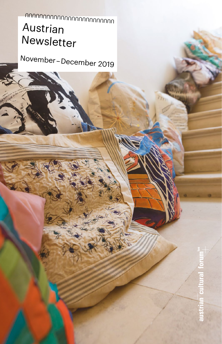# Austrian Newsletter UUUUUUUUUUUUUUUUUUUUUUUUU

November – December 2019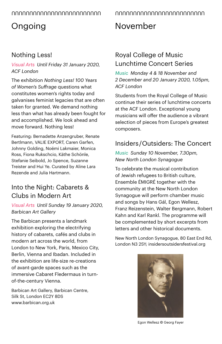## Ongoing

### Nothing Less!

#### *Visual Arts Until Friday 31 January 2020, ACF London*

The exhibition *Nothing Less! 100 Years of Women's Suffrage* questions what constitutes women's rights today and galvanises feminist legacies that are often taken for granted. We demand nothing less than what has already been fought for and accomplished. We look ahead and move forward. Nothing less!

Featuring: Bernadette Anzengruber, Renate Bertlmann, VALIE EXPORT, Caren Garfen, Johnny Golding, Noëmi Lakmaier, Monica Ross, Fiona Rukschcio, Käthe Schönle, Stefanie Seibold, Jo Spence, Suzanne Treister and Hui Ye. Curated by Aline Lara Rezende and Julia Hartmann.

### Into the Night: Cabarets & Clubs in Modern Art

*Visual Arts Until Sunday 19 January 2020, Barbican Art Gallery*

The Barbican presents a landmark exhibition exploring the electrifying history of cabarets, cafés and clubs in modern art across the world, from London to New York, Paris, Mexico City, Berlin, Vienna and Ibadan. Included in the exhibition are life-size re-creations of avant-garde spaces such as the immersive Cabaret Fledermaus in turnof-the-century Vienna.

Barbican Art Gallery, Barbican Centre, Silk St, London EC2Y 8DS [www.barbican.org.uk](http://www.barbican.org.uk) 

## November

### Royal College of Music Lunchtime Concert Series

*Music Monday 4 & 18 November and 2 December and 20 January 2020, 1.05pm, ACF London*

Students from the Royal College of Music continue their series of lunchtime concerts at the ACF London. Exceptional young musicians will offer the audience a vibrant selection of pieces from Europe's greatest composers.

### Insiders / Outsiders: The Concert

*Music Sunday 10 November, 7.30pm, [New North London Synagogue](https://insidersoutsidersfestival.org/venue/new-north-london-synagogue/)*

To celebrate the musical contribution of Jewish refugees to British culture, Ensemble ÉMIGRÉ together with the community at the New North London Synagogue will perform chamber music and songs by Hans Gál, Egon Wellesz. Franz Reizenstein, Walter Bergmann, Robert Kahn and Karl Rankl. The programme will be complemented by short excerpts from letters and other historical documents.

[New North London Synagogue,](https://insidersoutsidersfestival.org/venue/new-north-london-synagogue/) 80 East End Rd, London N3 2SY; [insidersoutsidersfestival.org](https://insidersoutsidersfestival.org/event/insiders-outsiders-the-concert/)



Egon Wellesz © Georg Fayer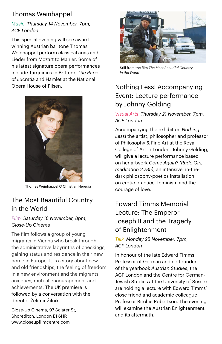### Thomas Weinhappel

#### *Music Thursday 14 November, 7pm, ACF London*

This special evening will see awardwinning Austrian baritone Thomas Weinhappel perform classical arias and Lieder from Mozart to Mahler. Some of his latest signature opera performances include Tarquinius in Britten's *The Rape of Lucretia* and Hamlet at the National Opera House of Pilsen.



Thomas Weinhappel © Christian Heredia

### The Most Beautiful Country in the World

#### *Film Saturday 16 November, 8pm, Close-Up Cinema*

The film follows a group of young migrants in Vienna who break through the administrative labyrinths of checkings, gaining status and residence in their new home in Europe. It is a story about new and old friendships, the feeling of freedom in a new environment and the migrants' anxieties, mutual encouragement and achievements. The UK premiere is followed by a conversation with the director Želimir Žilnik.

Close-Up Cinema, 97 Sclater St, Shoreditch, London E1 6HR www.closeupfilmcentre.com



Still from the film *The Most Beautiful Country in the World*

### Nothing Less! Accompanying Event: Lecture performance by Johnny Golding

#### *Visual Arts Thursday 21 November, 7pm, ACF London*

Accompanying the exhibition *Nothing Less!* the artist, philosopher and professor of Philosophy & Fine Art at the Royal College of Art in London, Johnny Golding, will give a lecture performance based on her artwork *Come Again? (Rude Girl, meditation 2,785)*, an intensive, in-thedark philosophy-poetics installation on erotic practice, feminism and the courage of love.

### Edward Timms Memorial Lecture: The Emperor Joseph II and the Tragedy of Enlightenment

#### *Talk Monday 25 November, 7pm, ACF London*

In honour of the late Edward Timms, Professor of German and co-founder of the yearbook *Austrian Studies,* the ACF London and the Centre for German-Jewish Studies at the University of Sussex are holding a lecture with Edward Timms' close friend and academic colleague Professor Ritchie Robertson. The evening will examine the Austrian Enlightenment and its aftermath.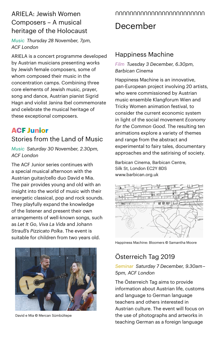### ARIELA: Jewish Women Composers – A musical heritage of the Holocaust

*Music Thursday 28 November, 7pm, ACF London*

ARIELA is a concert programme developed by Austrian musicians presenting works by Jewish female composers, some of whom composed their music in the concentration camps. Combining three core elements of Jewish music, prayer, song and dance, Austrian pianist Sigrid Hagn and violist Janina Ibel commemorate and celebrate the musical heritage of these exceptional composers.

#### **ACF Junior** Stories from the Land of Music

*Music Saturday 30 November, 2.30pm, ACF London*

The ACF Junior series continues with a special musical afternoon with the Austrian guitar/cello duo David e Mia. The pair provides young and old with an insight into the world of music with their energetic classical, pop and rock sounds. They playfully expand the knowledge of the listener and present their own arrangements of well-known songs, such as *Let It Go*, *Viva La Vida* and Johann Strauß's *Pizzicato Polka*. The event is suitable for children from two years old.



David e Mia © Mercan Sümbültepe

## December

#### Happiness Machine

*Film Tuesday 3 December, 6.30pm, Barbican Cinema*

Happiness Machine is an innovative, pan-European project involving 20 artists, who were commissioned by Austrian music ensemble Klangforum Wien and Tricky Women animation festival, to consider the current economic system in light of the social movement *Economy for the Common Good*. The resulting ten animations explore a variety of themes and range from the abstract and experimental to fairy tales, documentary approaches and the satirising of society.

Barbican Cinema, Barbican Centre, Silk St, London EC2Y 8DS [www.barbican.org.uk](http://www.barbican.org.uk)



Happiness Machine: Bloomers © Samantha Moore

### Österreich Tag 2019

#### *Seminar Saturday 7 December, 9.30am – 5pm, ACF London*

The Österreich Tag aims to provide information about Austrian life, customs and language to German language teachers and others interested in Austrian culture. The event will focus on the use of photographs and artworks in teaching German as a foreign language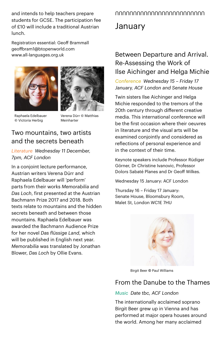and intends to help teachers prepare students for GCSE. The participation fee of £10 will include a traditional Austrian lunch.

Registration essential: Geoff Brammall [geoffbram1@btopenworld.com](mailto:geoffbram1@btopenworld.com)  www.all-languages.org.uk





Raphaela Edelbauer © Victoria Herbig

Verena Dürr © Matthias Meinharter

#### Two mountains, two artists and the secrets beneath

*Literature Wednesday 11 December, 7pm, ACF London*

In a conjoint lecture performance, Austrian writers Verena Dürr and Raphaela Edelbauer will 'perform' parts from their works *Memorabilia* and *Das Loch*, first presented at the Austrian Bachmann Prize 2017 and 2018. Both texts relate to mountains and the hidden secrets beneath and between those mountains. Raphaela Edelbauer was awarded the Bachmann Audience Prize for her novel *Das flüssige Land*, which will be published in English next year. *Memorabilia* was translated by Jonathan Blower, *Das Loch* by Ollie Evans.

## UUUUUUUUUUUUUUUUUUUUUUUUU

## January

### Between Departure and Arrival. Re-Assessing the Work of Ilse Aichinger and Helga Michie

*Conference Wednesday 15 – Friday 17 January, ACF London and Senate House*

Twin sisters Ilse Aichinger and Helga Michie responded to the tremors of the 20th century through different creative media. This international conference will be the first occasion where their oeuvres in literature and the visual arts will be examined conjointly and considered as reflections of personal experience and in the context of their time.

Keynote speakers include Professor Rüdiger Görner, Dr Christine Ivanovic, Professor Dolors Sabaté Planes and Dr Geoff Wilkes.

Wednesday 15 January: ACF London

Thursday 16 – Friday 17 January: Senate House, Bloomsbury Room, Malet St, London WC1E 7HU



Birgit Beer © Paul Williams

#### From the Danube to the Thames

#### *Music Date tbc, ACF London*

The internationally acclaimed soprano Birgit Beer grew up in Vienna and has performed at major opera houses around the world. Among her many acclaimed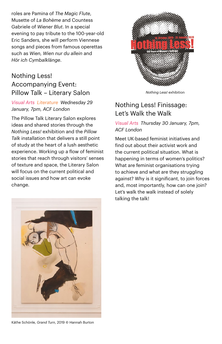roles are Pamina of *The Magic Flute*, Musette of *La Bohème* and Countess Gabriele of *Wiener Blut*. In a special evening to pay tribute to the 100-year-old Eric Sanders, she will perform Viennese songs and pieces from famous operettas such as *Wien, Wien nur du allein* and *Hör ich Cymbalklänge*.

#### Nothing Less! Accompanying Event: Pillow Talk – Literary Salon

#### *Visual Arts Literature Wednesday 29 January, 7pm, ACF London*

The Pillow Talk Literary Salon explores ideas and shared stories through the *Nothing Less!* exhibition and the *Pillow Talk* installation that delivers a still point of study at the heart of a lush aesthetic experience. Working up a flow of feminist stories that reach through visitors' senses of texture and space, the Literary Salon will focus on the current political and social issues and how art can evoke change.



*Nothing Less!* exhibition

### Nothing Less! Finissage: Let's Walk the Walk

#### *Visual Arts Thursday 30 January, 7pm, ACF London*

Meet UK-based feminist initiatives and find out about their activist work and the current political situation. What is happening in terms of women's politics? What are feminist organisations trying to achieve and what are they struggling against? Why is it significant, to join forces and, most importantly, how can one join? Let's walk the walk instead of solely talking the talk!



Käthe Schönle, *Grand Turn*, 2019 © Hannah Burton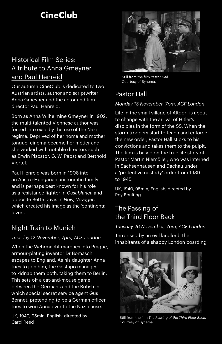## **CineClub**

### Historical Film Series: A tribute to Anna Gmeyner and Paul Henreid

Our autumn CineClub is dedicated to two Austrian artists: author and scriptwriter Anna Gmeyner and the actor and film director Paul Henreid.

Born as Anna Wilhelmine Gmeyner in 1902, the multi-talented Viennese author was forced into exile by the rise of the Nazi regime. Deprived of her home and mother tongue, cinema became her métier and she worked with notable directors such as Erwin Piscator, G. W. Pabst and Berthold Viertel.

Paul Henreid was born in 1908 into an Austro-Hungarian aristocratic family and is perhaps best known for his role as a resistance fighter in *Casablanca* and opposite Bette Davis in *Now, Voyager*, which created his image as the 'continental lover'.

#### Night Train to Munich

#### *Tuesday 12 November, 7pm, ACF London*

When the Wehrmacht marches into Prague, armour-plating inventor Dr Bomasch escapes to England. As his daughter Anna tries to join him, the Gestapo manages to kidnap them both, taking them to Berlin. This sets off a cat-and-mouse game between the Germans and the British in which special secret service agent Gus Bennet, pretending to be a German officer, tries to woo Anna over to the Nazi cause.

UK, 1940, 95min, English, directed by Carol Reed



Still from the film *Pastor Hall.*  Courtesy of Synema.

### Pastor Hall

#### *Monday 18 November, 7pm, ACF London*

Life in the small village of Altdorf is about to change with the arrival of Hitler's disciples in the form of the SS. When the storm troopers start to teach and enforce the new order, Pastor Hall sticks to his convictions and takes them to the pulpit. The film is based on the true life story of Pastor Martin Niemöller, who was interned in Sachsenhausen and Dachau under a 'protective custody' order from 1939 to 1945.

UK, 1940, 95min, English, directed by Roy Boulting

### The Passing of the Third Floor Back

#### *Tuesday 26 November, 7pm, ACF London*

Terrorised by an evil landlord, the inhabitants of a shabby London boarding



Still from the film *The Passing of the Third Floor Back*. Courtesy of Synema.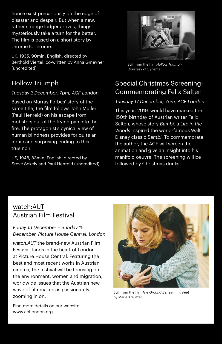house exist precariously on the edge of disaster and despair. But when a new, rather strange lodger arrives, things mysteriously take a turn for the better. The film is based on a short story by Jerome K. Jerome.

UK, 1935, 90min, English, directed by Berthold Viertel, co-written by Anna Gmeyner (uncredited)

### Hollow Triumph

#### *Tuesday 3December, 7pm, ACF London*

Based on Murray Forbes' story of the same title, the film follows John Muller (Paul Henreid) on his escape from mobsters out of the frying pan into the fire. The protagonist's cynical view of human blindness provides for quite an ironic and surprising ending to this true noir.

US, 1948, 83min, English, directed by Steve Sekely and Paul Henreid (uncredited)



Still from the film *Hollow Triumph.*  Courtesy of Synema.

### Special Christmas Screening: Commemorating Felix Salten

#### *Tuesday 17 December, 7pm, ACF London*

This year, 2019, would have marked the 150th birthday of Austrian writer Felix Salten, whose story *Bambi, a Life in the Woods* inspired the world-famous Walt Disney classic *Bambi*. To commemorate the author, the ACF will screen the animation and give an insight into his manifold oeuvre. The screening will be followed by Christmas drinks.

### watch:AUT Austrian Film Festival

#### *Friday 13 December – Sunday 15 December, Picture House Central, London*

*watch:AUT* the brand-new Austrian Film Festival, lands in the heart of London at Picture House Central. Featuring the best and most recent works in Austrian cinema, the festival will be focusing on the environment, women and migration, worldwide issues that the Austrian new wave of filmmakers is passionately zooming in on.



Still from the film *The Ground Beneath my Feet* by Marie Kreutzer

Find more details on our website: www.acflondon.org.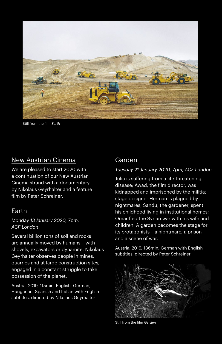

Still from the film *Earth*

#### New Austrian Cinema

We are pleased to start 2020 with a continuation of our New Austrian Cinema strand with a documentary by Nikolaus Geyrhalter and a feature film by Peter Schreiner.

#### Earth

*Monday 13 January 2020, 7pm, ACF London*

Several billion tons of soil and rocks are annually moved by humans – with shovels, excavators or dynamite. Nikolaus Geyrhalter observes people in mines, quarries and at large construction sites, engaged in a constant struggle to take possession of the planet.

Austria, 2019, 115min, English, German, Hungarian, Spanish and Italian with English subtitles, directed by Nikolaus Geyrhalter

#### Garden

#### *Tuesday 21 January 2020, 7pm, ACF London*

Julia is suffering from a life-threatening disease; Awad, the film director, was kidnapped and imprisoned by the militia; stage designer Herman is plagued by nightmares; Sandu, the gardener, spent his childhood living in institutional homes; Omar fled the Syrian war with his wife and children. A garden becomes the stage for its protagonists – a nightmare, a prison and a scene of war.

Austria, 2019, 136min, German with English subtitles, directed by Peter Schreiner



Still from the film *Garden*